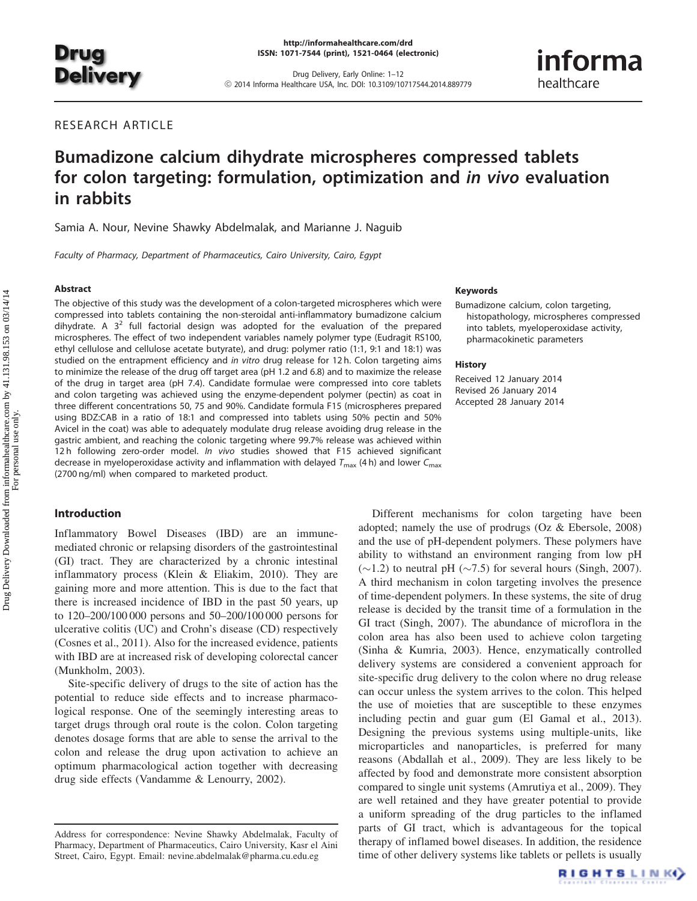

Drug Delivery, Early Online: 1–12 ! 2014 Informa Healthcare USA, Inc. DOI: 10.3109/10717544.2014.889779

# RESEARCH ARTICLE

# Bumadizone calcium dihydrate microspheres compressed tablets for colon targeting: formulation, optimization and in vivo evaluation in rabbits

Samia A. Nour, Nevine Shawky Abdelmalak, and Marianne J. Naguib

Faculty of Pharmacy, Department of Pharmaceutics, Cairo University, Cairo, Egypt

#### Abstract

The objective of this study was the development of a colon-targeted microspheres which were compressed into tablets containing the non-steroidal anti-inflammatory bumadizone calcium dihydrate. A  $3<sup>2</sup>$  full factorial design was adopted for the evaluation of the prepared microspheres. The effect of two independent variables namely polymer type (Eudragit RS100, ethyl cellulose and cellulose acetate butyrate), and drug: polymer ratio (1:1, 9:1 and 18:1) was studied on the entrapment efficiency and in vitro drug release for 12 h. Colon targeting aims to minimize the release of the drug off target area (pH 1.2 and 6.8) and to maximize the release of the drug in target area (pH 7.4). Candidate formulae were compressed into core tablets and colon targeting was achieved using the enzyme-dependent polymer (pectin) as coat in three different concentrations 50, 75 and 90%. Candidate formula F15 (microspheres prepared using BDZ:CAB in a ratio of 18:1 and compressed into tablets using 50% pectin and 50% Avicel in the coat) was able to adequately modulate drug release avoiding drug release in the gastric ambient, and reaching the colonic targeting where 99.7% release was achieved within 12 h following zero-order model. In vivo studies showed that F15 achieved significant decrease in myeloperoxidase activity and inflammation with delayed  $T_{\text{max}}$  (4 h) and lower  $C_{\text{max}}$ (2700 ng/ml) when compared to marketed product.

# Introduction

Inflammatory Bowel Diseases (IBD) are an immunemediated chronic or relapsing disorders of the gastrointestinal (GI) tract. They are characterized by a chronic intestinal inflammatory process (Klein & Eliakim, [2010\)](#page-11-0). They are gaining more and more attention. This is due to the fact that there is increased incidence of IBD in the past 50 years, up to 120–200/100 000 persons and 50–200/100 000 persons for ulcerative colitis (UC) and Crohn's disease (CD) respectively (Cosnes et al., [2011](#page-11-0)). Also for the increased evidence, patients with IBD are at increased risk of developing colorectal cancer (Munkholm, [2003](#page-11-0)).

Site-specific delivery of drugs to the site of action has the potential to reduce side effects and to increase pharmacological response. One of the seemingly interesting areas to target drugs through oral route is the colon. Colon targeting denotes dosage forms that are able to sense the arrival to the colon and release the drug upon activation to achieve an optimum pharmacological action together with decreasing drug side effects (Vandamme & Lenourry, [2002](#page-11-0)).

#### Keywords

Bumadizone calcium, colon targeting, histopathology, microspheres compressed into tablets, myeloperoxidase activity, pharmacokinetic parameters

informa

healthcare

#### **History**

Received 12 January 2014 Revised 26 January 2014 Accepted 28 January 2014

Different mechanisms for colon targeting have been adopted; namely the use of prodrugs (Oz & Ebersole, [2008\)](#page-11-0) and the use of pH-dependent polymers. These polymers have ability to withstand an environment ranging from low pH  $(\sim 1.2)$  to neutral pH ( $\sim 7.5$ ) for several hours (Singh, [2007](#page-11-0)). A third mechanism in colon targeting involves the presence of time-dependent polymers. In these systems, the site of drug release is decided by the transit time of a formulation in the GI tract (Singh, [2007\)](#page-11-0). The abundance of microflora in the colon area has also been used to achieve colon targeting (Sinha & Kumria, [2003](#page-11-0)). Hence, enzymatically controlled delivery systems are considered a convenient approach for site-specific drug delivery to the colon where no drug release can occur unless the system arrives to the colon. This helped the use of moieties that are susceptible to these enzymes including pectin and guar gum (El Gamal et al., [2013](#page-11-0)). Designing the previous systems using multiple-units, like microparticles and nanoparticles, is preferred for many reasons (Abdallah et al., [2009](#page-11-0)). They are less likely to be affected by food and demonstrate more consistent absorption compared to single unit systems (Amrutiya et al., [2009](#page-11-0)). They are well retained and they have greater potential to provide a uniform spreading of the drug particles to the inflamed parts of GI tract, which is advantageous for the topical therapy of inflamed bowel diseases. In addition, the residence time of other delivery systems like tablets or pellets is usually

Address for correspondence: Nevine Shawky Abdelmalak, Faculty of Pharmacy, Department of Pharmaceutics, Cairo University, Kasr el Aini Street, Cairo, Egypt. Email: [nevine.abdelmalak@pharma.cu.edu.eg](mailto:nevine.abdelmalak@pharma.cu.edu.eg)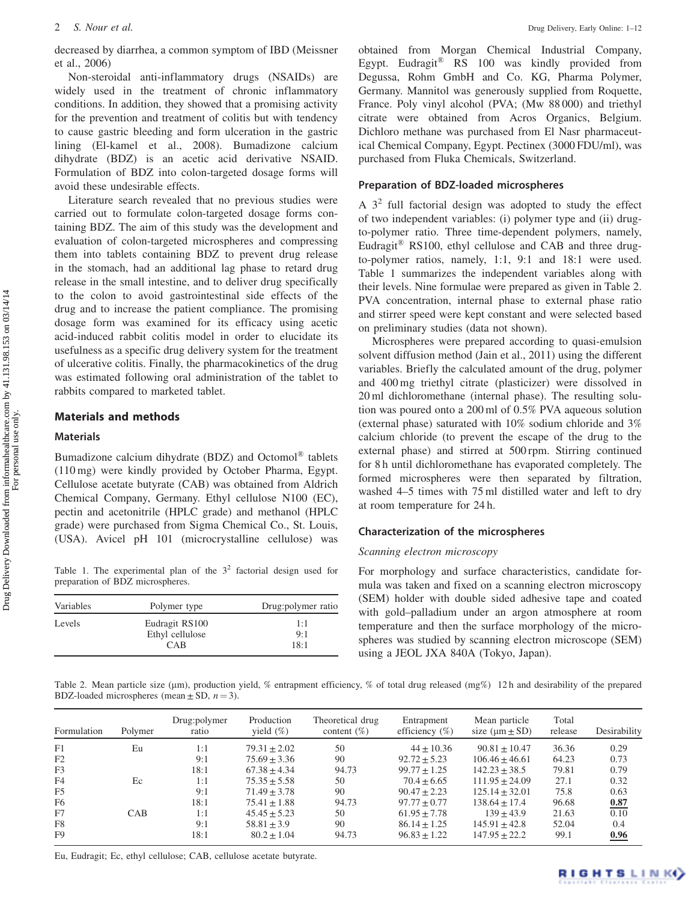<span id="page-1-0"></span>decreased by diarrhea, a common symptom of IBD (Meissner et al., [2006\)](#page-11-0)

Non-steroidal anti-inflammatory drugs (NSAIDs) are widely used in the treatment of chronic inflammatory conditions. In addition, they showed that a promising activity for the prevention and treatment of colitis but with tendency to cause gastric bleeding and form ulceration in the gastric lining (El-kamel et al., [2008\)](#page-11-0). Bumadizone calcium dihydrate (BDZ) is an acetic acid derivative NSAID. Formulation of BDZ into colon-targeted dosage forms will avoid these undesirable effects.

Literature search revealed that no previous studies were carried out to formulate colon-targeted dosage forms containing BDZ. The aim of this study was the development and evaluation of colon-targeted microspheres and compressing them into tablets containing BDZ to prevent drug release in the stomach, had an additional lag phase to retard drug release in the small intestine, and to deliver drug specifically to the colon to avoid gastrointestinal side effects of the drug and to increase the patient compliance. The promising dosage form was examined for its efficacy using acetic acid-induced rabbit colitis model in order to elucidate its usefulness as a specific drug delivery system for the treatment of ulcerative colitis. Finally, the pharmacokinetics of the drug was estimated following oral administration of the tablet to rabbits compared to marketed tablet.

# Materials and methods

#### Materials

Bumadizone calcium dihydrate (BDZ) and Octomol® tablets (110 mg) were kindly provided by October Pharma, Egypt. Cellulose acetate butyrate (CAB) was obtained from Aldrich Chemical Company, Germany. Ethyl cellulose N100 (EC), pectin and acetonitrile (HPLC grade) and methanol (HPLC grade) were purchased from Sigma Chemical Co., St. Louis, (USA). Avicel pH 101 (microcrystalline cellulose) was

Table 1. The experimental plan of the  $3<sup>2</sup>$  factorial design used for preparation of BDZ microspheres.

| Variables | Polymer type    | Drug: polymer ratio |
|-----------|-----------------|---------------------|
| Levels    | Eudragit RS100  | 1:1                 |
|           | Ethyl cellulose | 9:1                 |
|           | <b>CAB</b>      | 18:1                |

obtained from Morgan Chemical Industrial Company, Egypt. Eudragit® RS 100 was kindly provided from Degussa, Rohm GmbH and Co. KG, Pharma Polymer, Germany. Mannitol was generously supplied from Roquette, France. Poly vinyl alcohol (PVA; (Mw 88 000) and triethyl citrate were obtained from Acros Organics, Belgium. Dichloro methane was purchased from El Nasr pharmaceutical Chemical Company, Egypt. Pectinex (3000 FDU/ml), was purchased from Fluka Chemicals, Switzerland.

# Preparation of BDZ-loaded microspheres

A  $3<sup>2</sup>$  full factorial design was adopted to study the effect of two independent variables: (i) polymer type and (ii) drugto-polymer ratio. Three time-dependent polymers, namely, Eudragit® RS100, ethyl cellulose and CAB and three drugto-polymer ratios, namely, 1:1, 9:1 and 18:1 were used. Table 1 summarizes the independent variables along with their levels. Nine formulae were prepared as given in Table 2. PVA concentration, internal phase to external phase ratio and stirrer speed were kept constant and were selected based on preliminary studies (data not shown).

Microspheres were prepared according to quasi-emulsion solvent diffusion method (Jain et al., [2011\)](#page-11-0) using the different variables. Briefly the calculated amount of the drug, polymer and 400 mg triethyl citrate (plasticizer) were dissolved in 20 ml dichloromethane (internal phase). The resulting solution was poured onto a 200 ml of 0.5% PVA aqueous solution (external phase) saturated with 10% sodium chloride and 3% calcium chloride (to prevent the escape of the drug to the external phase) and stirred at 500 rpm. Stirring continued for 8 h until dichloromethane has evaporated completely. The formed microspheres were then separated by filtration, washed 4–5 times with 75 ml distilled water and left to dry at room temperature for 24 h.

# Characterization of the microspheres

# Scanning electron microscopy

For morphology and surface characteristics, candidate formula was taken and fixed on a scanning electron microscopy (SEM) holder with double sided adhesive tape and coated with gold–palladium under an argon atmosphere at room temperature and then the surface morphology of the microspheres was studied by scanning electron microscope (SEM) using a JEOL JXA 840A (Tokyo, Japan).

Table 2. Mean particle size (um), production yield, % entrapment efficiency, % of total drug released (mg%) 12h and desirability of the prepared BDZ-loaded microspheres (mean  $\pm$  SD,  $n = 3$ ).

| Formulation    | Polymer | Drug:polymer<br>ratio | Production<br>yield $(\%)$ | Theoretical drug<br>content $(\%)$ | Entrapment<br>efficiency $(\%)$ | Mean particle<br>size $(\mu m \pm SD)$ | Total<br>release | Desirability |
|----------------|---------|-----------------------|----------------------------|------------------------------------|---------------------------------|----------------------------------------|------------------|--------------|
| F1             | Eu      | 1:1                   | $79.31 + 2.02$             | 50                                 | $44 + 10.36$                    | $90.81 + 10.47$                        | 36.36            | 0.29         |
| F2             |         | 9:1                   | $75.69 \pm 3.36$           | 90                                 | $92.72 \pm 5.23$                | $106.46 + 46.61$                       | 64.23            | 0.73         |
| F <sub>3</sub> |         | 18:1                  | $67.38 + 4.34$             | 94.73                              | $99.77 + 1.25$                  | $142.23 + 38.5$                        | 79.81            | 0.79         |
| F4             | Ec      | 1:1                   | $75.35 \pm 5.58$           | 50                                 | $70.4 + 6.65$                   | $111.95 + 24.09$                       | 27.1             | 0.32         |
| F5             |         | 9:1                   | $71.49 \pm 3.78$           | 90                                 | $90.47 + 2.23$                  | $125.14 + 32.01$                       | 75.8             | 0.63         |
| F6             |         | 18:1                  | $75.41 \pm 1.88$           | 94.73                              | $97.77 + 0.77$                  | $138.64 + 17.4$                        | 96.68            | 0.87         |
| F7             | CAB     | 1:1                   | $45.45 + 5.23$             | 50                                 | $61.95 + 7.78$                  | $139 \pm 43.9$                         | 21.63            | 0.10         |
| F8             |         | 9:1                   | $58.81 + 3.9$              | 90                                 | $86.14 + 1.25$                  | $145.91 + 42.8$                        | 52.04            | 0.4          |
| F9             |         | 18:1                  | $80.2 + 1.04$              | 94.73                              | $96.83 + 1.22$                  | $147.95 + 22.2$                        | 99.1             | 0.96         |

Eu, Eudragit; Ec, ethyl cellulose; CAB, cellulose acetate butyrate.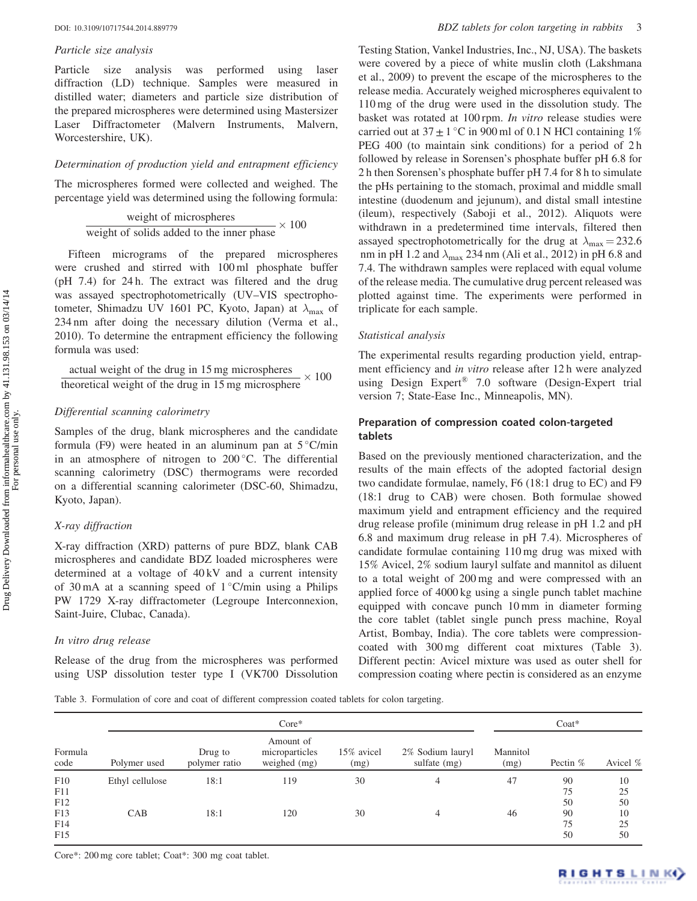#### Particle size analysis

Particle size analysis was performed using laser diffraction (LD) technique. Samples were measured in distilled water; diameters and particle size distribution of the prepared microspheres were determined using Mastersizer Laser Diffractometer (Malvern Instruments, Malvern, Worcestershire, UK).

### Determination of production yield and entrapment efficiency

The microspheres formed were collected and weighed. The percentage yield was determined using the following formula:

weight of microspheres

\nweight of solids added to the inner phase 
$$
\times
$$
 100

Fifteen micrograms of the prepared microspheres were crushed and stirred with 100 ml phosphate buffer (pH 7.4) for 24 h. The extract was filtered and the drug was assayed spectrophotometrically (UV–VIS spectrophotometer, Shimadzu UV 1601 PC, Kyoto, Japan) at  $\lambda_{\text{max}}$  of 234 nm after doing the necessary dilution (Verma et al., [2010\)](#page-11-0). To determine the entrapment efficiency the following formula was used:

$$
\frac{\text{actual weight of the drug in 15 mg microspheres}}{\text{theoretical weight of the drug in 15 mg microsphere}} \times 100
$$

#### Differential scanning calorimetry

Samples of the drug, blank microspheres and the candidate formula (F9) were heated in an aluminum pan at  $5^{\circ}$ C/min in an atmosphere of nitrogen to  $200\degree$ C. The differential scanning calorimetry (DSC) thermograms were recorded on a differential scanning calorimeter (DSC-60, Shimadzu, Kyoto, Japan).

#### X-ray diffraction

X-ray diffraction (XRD) patterns of pure BDZ, blank CAB microspheres and candidate BDZ loaded microspheres were determined at a voltage of 40 kV and a current intensity of 30 mA at a scanning speed of  $1^{\circ}$ C/min using a Philips PW 1729 X-ray diffractometer (Legroupe Interconnexion, Saint-Juire, Clubac, Canada).

#### In vitro drug release

Release of the drug from the microspheres was performed using USP dissolution tester type I (VK700 Dissolution Testing Station, Vankel Industries, Inc., NJ, USA). The baskets were covered by a piece of white muslin cloth (Lakshmana et al., [2009\)](#page-11-0) to prevent the escape of the microspheres to the release media. Accurately weighed microspheres equivalent to 110 mg of the drug were used in the dissolution study. The basket was rotated at 100 rpm. In vitro release studies were carried out at  $37 \pm 1$  °C in 900 ml of 0.1 N HCl containing 1% PEG 400 (to maintain sink conditions) for a period of 2 h followed by release in Sorensen's phosphate buffer pH 6.8 for 2 h then Sorensen's phosphate buffer pH 7.4 for 8 h to simulate the pHs pertaining to the stomach, proximal and middle small intestine (duodenum and jejunum), and distal small intestine (ileum), respectively (Saboji et al., [2012\)](#page-11-0). Aliquots were withdrawn in a predetermined time intervals, filtered then assayed spectrophotometrically for the drug at  $\lambda_{\text{max}} = 232.6$ nm in pH 1.2 and  $\lambda_{\text{max}}$  234 nm (Ali et al., [2012](#page-11-0)) in pH 6.8 and 7.4. The withdrawn samples were replaced with equal volume of the release media. The cumulative drug percent released was plotted against time. The experiments were performed in triplicate for each sample.

## Statistical analysis

The experimental results regarding production yield, entrapment efficiency and *in vitro* release after 12h were analyzed using Design Expert<sup>®</sup> 7.0 software (Design-Expert trial version 7; State-Ease Inc., Minneapolis, MN).

# Preparation of compression coated colon-targeted tablets

Based on the previously mentioned characterization, and the results of the main effects of the adopted factorial design two candidate formulae, namely, F6 (18:1 drug to EC) and F9 (18:1 drug to CAB) were chosen. Both formulae showed maximum yield and entrapment efficiency and the required drug release profile (minimum drug release in pH 1.2 and pH 6.8 and maximum drug release in pH 7.4). Microspheres of candidate formulae containing 110 mg drug was mixed with 15% Avicel, 2% sodium lauryl sulfate and mannitol as diluent to a total weight of 200 mg and were compressed with an applied force of 4000 kg using a single punch tablet machine equipped with concave punch 10 mm in diameter forming the core tablet (tablet single punch press machine, Royal Artist, Bombay, India). The core tablets were compressioncoated with 300 mg different coat mixtures (Table 3). Different pectin: Avicel mixture was used as outer shell for compression coating where pectin is considered as an enzyme

Table 3. Formulation of core and coat of different compression coated tablets for colon targeting.

|                   |                 | $Core*$                  |                                             |                    |                                  |                  |                | $\text{Coat}^*$ |  |  |
|-------------------|-----------------|--------------------------|---------------------------------------------|--------------------|----------------------------------|------------------|----------------|-----------------|--|--|
| Formula<br>code   | Polymer used    | Drug to<br>polymer ratio | Amount of<br>microparticles<br>weighed (mg) | 15% avicel<br>(mg) | 2% Sodium lauryl<br>sulfate (mg) | Mannitol<br>(mg) | Pectin $%$     | Avicel %        |  |  |
| F10<br>F11<br>F12 | Ethyl cellulose | 18:1                     | 119                                         | 30                 | 4                                | 47               | 90<br>75<br>50 | 10<br>25<br>50  |  |  |
| F13<br>F14<br>F15 | CAB             | 18:1                     | 120                                         | 30                 | 4                                | 46               | 90<br>75<br>50 | 10<br>25<br>50  |  |  |

Core\*: 200 mg core tablet; Coat\*: 300 mg coat tablet.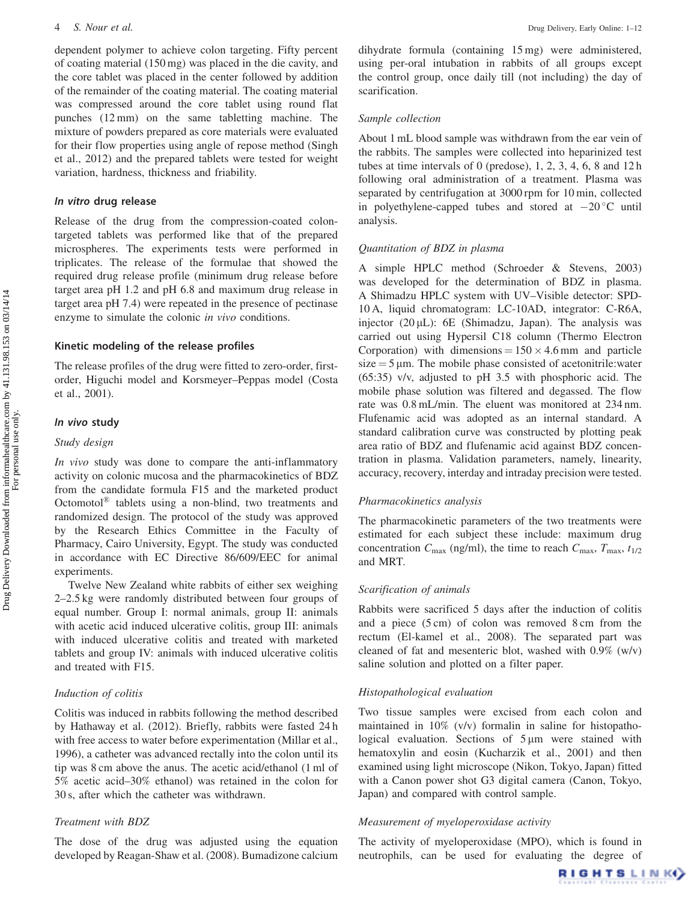dependent polymer to achieve colon targeting. Fifty percent of coating material (150 mg) was placed in the die cavity, and the core tablet was placed in the center followed by addition of the remainder of the coating material. The coating material was compressed around the core tablet using round flat punches (12 mm) on the same tabletting machine. The mixture of powders prepared as core materials were evaluated for their flow properties using angle of repose method (Singh et al., [2012\)](#page-11-0) and the prepared tablets were tested for weight variation, hardness, thickness and friability.

# In vitro drug release

Release of the drug from the compression-coated colontargeted tablets was performed like that of the prepared microspheres. The experiments tests were performed in triplicates. The release of the formulae that showed the required drug release profile (minimum drug release before target area pH 1.2 and pH 6.8 and maximum drug release in target area pH 7.4) were repeated in the presence of pectinase enzyme to simulate the colonic *in vivo* conditions.

# Kinetic modeling of the release profiles

The release profiles of the drug were fitted to zero-order, firstorder, Higuchi model and Korsmeyer–Peppas model (Costa et al., [2001\)](#page-11-0).

#### In vivo study

# Study design

In vivo study was done to compare the anti-inflammatory activity on colonic mucosa and the pharmacokinetics of BDZ from the candidate formula F15 and the marketed product Octomotol® tablets using a non-blind, two treatments and randomized design. The protocol of the study was approved by the Research Ethics Committee in the Faculty of Pharmacy, Cairo University, Egypt. The study was conducted in accordance with EC Directive 86/609/EEC for animal experiments.

Twelve New Zealand white rabbits of either sex weighing 2–2.5 kg were randomly distributed between four groups of equal number. Group I: normal animals, group II: animals with acetic acid induced ulcerative colitis, group III: animals with induced ulcerative colitis and treated with marketed tablets and group IV: animals with induced ulcerative colitis and treated with F15.

# Induction of colitis

Colitis was induced in rabbits following the method described by Hathaway et al. [\(2012\)](#page-11-0). Briefly, rabbits were fasted 24 h with free access to water before experimentation (Millar et al., 1996), a catheter was advanced rectally into the colon until its tip was 8 cm above the anus. The acetic acid/ethanol (1 ml of 5% acetic acid–30% ethanol) was retained in the colon for 30 s, after which the catheter was withdrawn.

# Treatment with BDZ

The dose of the drug was adjusted using the equation developed by Reagan-Shaw et al. [\(2008\)](#page-11-0). Bumadizone calcium

dihydrate formula (containing 15 mg) were administered, using per-oral intubation in rabbits of all groups except the control group, once daily till (not including) the day of scarification.

#### Sample collection

About 1 mL blood sample was withdrawn from the ear vein of the rabbits. The samples were collected into heparinized test tubes at time intervals of 0 (predose), 1, 2, 3, 4, 6, 8 and 12 h following oral administration of a treatment. Plasma was separated by centrifugation at 3000 rpm for 10 min, collected in polyethylene-capped tubes and stored at  $-20$  °C until analysis.

# Quantitation of BDZ in plasma

A simple HPLC method (Schroeder & Stevens, [2003\)](#page-11-0) was developed for the determination of BDZ in plasma. A Shimadzu HPLC system with UV–Visible detector: SPD-10 A, liquid chromatogram: LC-10AD, integrator: C-R6A, injector  $(20 \,\mu L)$ : 6E (Shimadzu, Japan). The analysis was carried out using Hypersil C18 column (Thermo Electron Corporation) with dimensions =  $150 \times 4.6$  mm and particle  $size = 5 \mu m$ . The mobile phase consisted of acetonitrile:water (65:35) v/v, adjusted to pH 3.5 with phosphoric acid. The mobile phase solution was filtered and degassed. The flow rate was 0.8 mL/min. The eluent was monitored at 234 nm. Flufenamic acid was adopted as an internal standard. A standard calibration curve was constructed by plotting peak area ratio of BDZ and flufenamic acid against BDZ concentration in plasma. Validation parameters, namely, linearity, accuracy, recovery, interday and intraday precision were tested.

#### Pharmacokinetics analysis

The pharmacokinetic parameters of the two treatments were estimated for each subject these include: maximum drug concentration  $C_{\text{max}}$  (ng/ml), the time to reach  $C_{\text{max}}$ ,  $T_{\text{max}}$ ,  $t_{1/2}$ and MRT.

# Scarification of animals

Rabbits were sacrificed 5 days after the induction of colitis and a piece (5 cm) of colon was removed 8 cm from the rectum (El-kamel et al., [2008](#page-11-0)). The separated part was cleaned of fat and mesenteric blot, washed with 0.9% (w/v) saline solution and plotted on a filter paper.

# Histopathological evaluation

Two tissue samples were excised from each colon and maintained in 10% (v/v) formalin in saline for histopathological evaluation. Sections of  $5 \mu m$  were stained with hematoxylin and eosin (Kucharzik et al., [2001\)](#page-11-0) and then examined using light microscope (Nikon, Tokyo, Japan) fitted with a Canon power shot G3 digital camera (Canon, Tokyo, Japan) and compared with control sample.

# Measurement of myeloperoxidase activity

The activity of myeloperoxidase (MPO), which is found in neutrophils, can be used for evaluating the degree of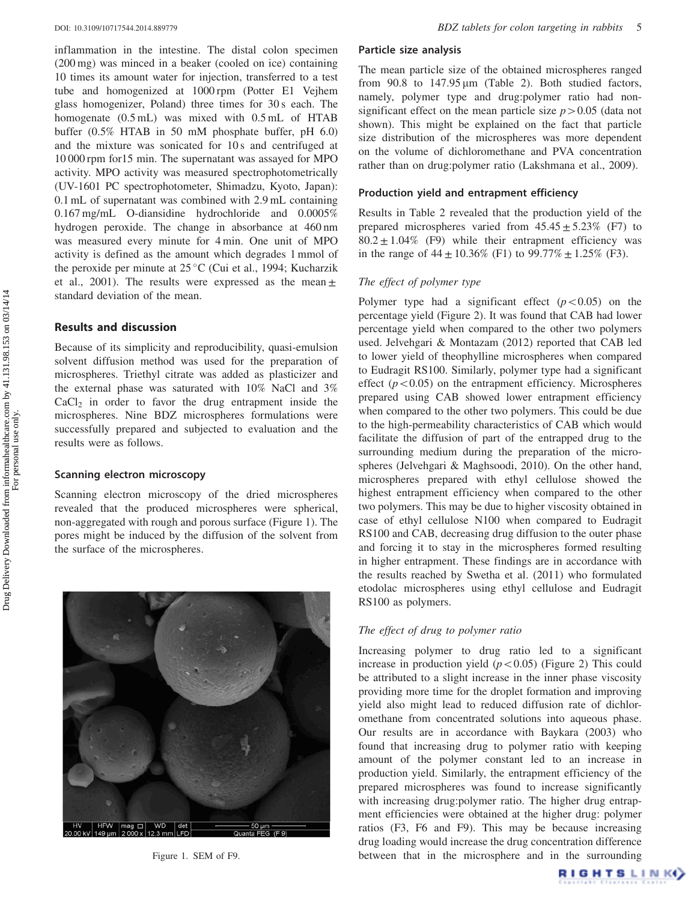inflammation in the intestine. The distal colon specimen (200 mg) was minced in a beaker (cooled on ice) containing 10 times its amount water for injection, transferred to a test tube and homogenized at 1000 rpm (Potter E1 Vejhem glass homogenizer, Poland) three times for 30 s each. The homogenate (0.5 mL) was mixed with 0.5 mL of HTAB buffer (0.5% HTAB in 50 mM phosphate buffer, pH 6.0) and the mixture was sonicated for 10 s and centrifuged at 10 000 rpm for15 min. The supernatant was assayed for MPO activity. MPO activity was measured spectrophotometrically (UV-1601 PC spectrophotometer, Shimadzu, Kyoto, Japan): 0.1 mL of supernatant was combined with 2.9 mL containing 0.167 mg/mL O-diansidine hydrochloride and 0.0005% hydrogen peroxide. The change in absorbance at 460 nm was measured every minute for 4 min. One unit of MPO activity is defined as the amount which degrades 1 mmol of the peroxide per minute at  $25^{\circ}$ C (Cui et al., [1994;](#page-11-0) Kucharzik et al., [2001](#page-11-0)). The results were expressed as the mean  $\pm$ standard deviation of the mean.

# Results and discussion

Because of its simplicity and reproducibility, quasi-emulsion solvent diffusion method was used for the preparation of microspheres. Triethyl citrate was added as plasticizer and the external phase was saturated with 10% NaCl and 3%  $CaCl<sub>2</sub>$  in order to favor the drug entrapment inside the microspheres. Nine BDZ microspheres formulations were successfully prepared and subjected to evaluation and the results were as follows.

# Scanning electron microscopy

Scanning electron microscopy of the dried microspheres revealed that the produced microspheres were spherical, non-aggregated with rough and porous surface (Figure 1). The pores might be induced by the diffusion of the solvent from the surface of the microspheres.



# Particle size analysis

The mean particle size of the obtained microspheres ranged from  $90.8$  to  $147.95 \,\text{\mu m}$  [\(Table 2\)](#page-1-0). Both studied factors, namely, polymer type and drug:polymer ratio had nonsignificant effect on the mean particle size  $p > 0.05$  (data not shown). This might be explained on the fact that particle size distribution of the microspheres was more dependent on the volume of dichloromethane and PVA concentration rather than on drug:polymer ratio (Lakshmana et al., [2009\)](#page-11-0).

# Production yield and entrapment efficiency

Results in [Table 2](#page-1-0) revealed that the production yield of the prepared microspheres varied from  $45.45 \pm 5.23\%$  (F7) to  $80.2 \pm 1.04\%$  (F9) while their entrapment efficiency was in the range of  $44 \pm 10.36\%$  (F1) to  $99.77\% \pm 1.25\%$  (F3).

# The effect of polymer type

Polymer type had a significant effect  $(p<0.05)$  on the percentage yield ([Figure 2\)](#page-5-0). It was found that CAB had lower percentage yield when compared to the other two polymers used. Jelvehgari & Montazam [\(2012](#page-11-0)) reported that CAB led to lower yield of theophylline microspheres when compared to Eudragit RS100. Similarly, polymer type had a significant effect  $(p<0.05)$  on the entrapment efficiency. Microspheres prepared using CAB showed lower entrapment efficiency when compared to the other two polymers. This could be due to the high-permeability characteristics of CAB which would facilitate the diffusion of part of the entrapped drug to the surrounding medium during the preparation of the microspheres (Jelvehgari & Maghsoodi, [2010\)](#page-11-0). On the other hand, microspheres prepared with ethyl cellulose showed the highest entrapment efficiency when compared to the other two polymers. This may be due to higher viscosity obtained in case of ethyl cellulose N100 when compared to Eudragit RS100 and CAB, decreasing drug diffusion to the outer phase and forcing it to stay in the microspheres formed resulting in higher entrapment. These findings are in accordance with the results reached by Swetha et al. ([2011\)](#page-11-0) who formulated etodolac microspheres using ethyl cellulose and Eudragit RS100 as polymers.

#### The effect of drug to polymer ratio

Increasing polymer to drug ratio led to a significant increase in production yield  $(p<0.05)$  [\(Figure 2\)](#page-5-0) This could be attributed to a slight increase in the inner phase viscosity providing more time for the droplet formation and improving yield also might lead to reduced diffusion rate of dichloromethane from concentrated solutions into aqueous phase. Our results are in accordance with Baykara ([2003\)](#page-11-0) who found that increasing drug to polymer ratio with keeping amount of the polymer constant led to an increase in production yield. Similarly, the entrapment efficiency of the prepared microspheres was found to increase significantly with increasing drug: polymer ratio. The higher drug entrapment efficiencies were obtained at the higher drug: polymer ratios (F3, F6 and F9). This may be because increasing drug loading would increase the drug concentration difference Figure 1. SEM of F9. between that in the microsphere and in the surrounding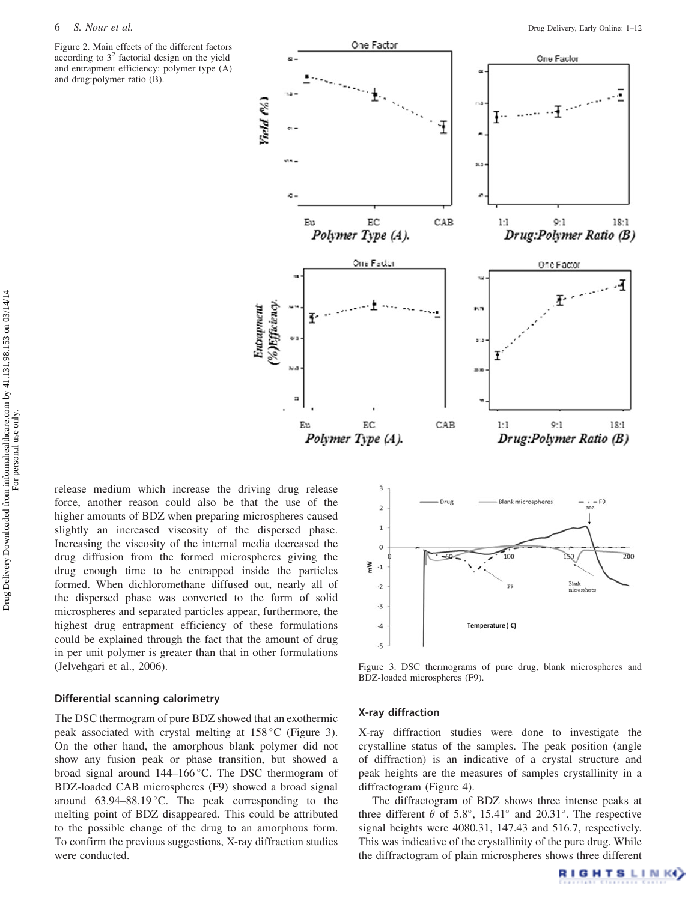<span id="page-5-0"></span>Figure 2. Main effects of the different factors according to  $3<sup>2</sup>$  factorial design on the yield and entrapment efficiency: polymer type (A) and drug:polymer ratio (B).



release medium which increase the driving drug release force, another reason could also be that the use of the higher amounts of BDZ when preparing microspheres caused slightly an increased viscosity of the dispersed phase. Increasing the viscosity of the internal media decreased the drug diffusion from the formed microspheres giving the drug enough time to be entrapped inside the particles formed. When dichloromethane diffused out, nearly all of the dispersed phase was converted to the form of solid microspheres and separated particles appear, furthermore, the highest drug entrapment efficiency of these formulations could be explained through the fact that the amount of drug in per unit polymer is greater than that in other formulations (Jelvehgari et al., [2006](#page-11-0)).

# Differential scanning calorimetry

The DSC thermogram of pure BDZ showed that an exothermic peak associated with crystal melting at  $158\,^{\circ}$ C (Figure 3). On the other hand, the amorphous blank polymer did not show any fusion peak or phase transition, but showed a broad signal around 144–166 °C. The DSC thermogram of BDZ-loaded CAB microspheres (F9) showed a broad signal around  $63.94-88.19 \degree C$ . The peak corresponding to the melting point of BDZ disappeared. This could be attributed to the possible change of the drug to an amorphous form. To confirm the previous suggestions, X-ray diffraction studies were conducted.



Figure 3. DSC thermograms of pure drug, blank microspheres and BDZ-loaded microspheres (F9).

# X-ray diffraction

X-ray diffraction studies were done to investigate the crystalline status of the samples. The peak position (angle of diffraction) is an indicative of a crystal structure and peak heights are the measures of samples crystallinity in a diffractogram [\(Figure 4\)](#page-6-0).

The diffractogram of BDZ shows three intense peaks at three different  $\theta$  of 5.8°, 15.41° and 20.31°. The respective signal heights were 4080.31, 147.43 and 516.7, respectively. This was indicative of the crystallinity of the pure drug. While the diffractogram of plain microspheres shows three different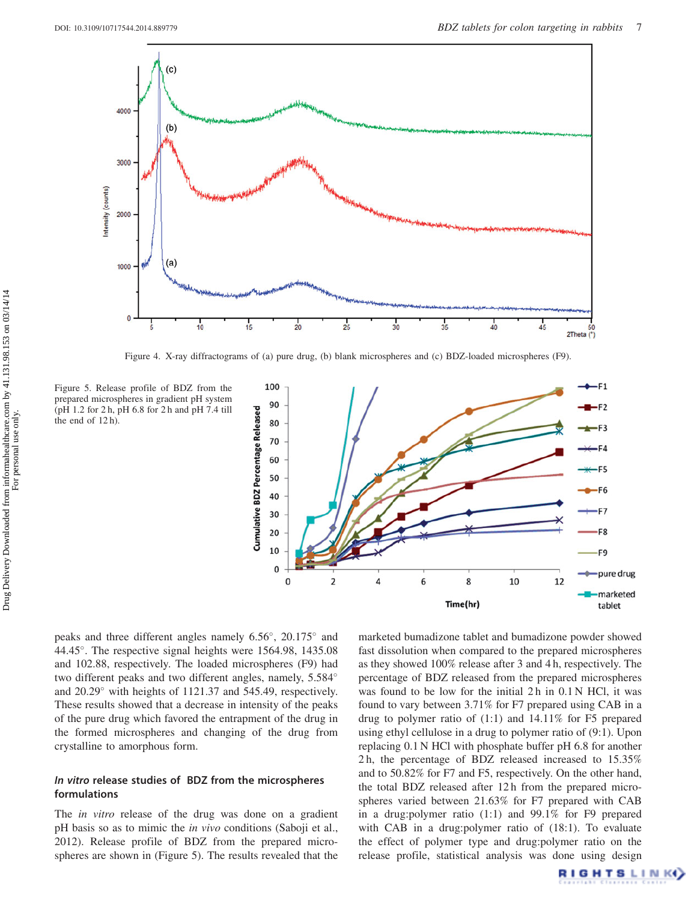<span id="page-6-0"></span>

Figure 4. X-ray diffractograms of (a) pure drug, (b) blank microspheres and (c) BDZ-loaded microspheres (F9).

Figure 5. Release profile of BDZ from the prepared microspheres in gradient pH system (pH 1.2 for 2 h, pH 6.8 for 2 h and pH 7.4 till the end of 12 h).



peaks and three different angles namely  $6.56^{\circ}$ ,  $20.175^{\circ}$  and 44.45°. The respective signal heights were 1564.98, 1435.08 and 102.88, respectively. The loaded microspheres (F9) had two different peaks and two different angles, namely, 5.584 and 20.29° with heights of 1121.37 and 545.49, respectively. These results showed that a decrease in intensity of the peaks of the pure drug which favored the entrapment of the drug in the formed microspheres and changing of the drug from crystalline to amorphous form.

# In vitro release studies of BDZ from the microspheres formulations

The *in vitro* release of the drug was done on a gradient pH basis so as to mimic the *in vivo* conditions (Saboji et al., [2012\)](#page-11-0). Release profile of BDZ from the prepared microspheres are shown in (Figure 5). The results revealed that the marketed bumadizone tablet and bumadizone powder showed fast dissolution when compared to the prepared microspheres as they showed 100% release after 3 and 4 h, respectively. The percentage of BDZ released from the prepared microspheres was found to be low for the initial 2 h in 0.1 N HCl, it was found to vary between 3.71% for F7 prepared using CAB in a drug to polymer ratio of (1:1) and 14.11% for F5 prepared using ethyl cellulose in a drug to polymer ratio of (9:1). Upon replacing 0.1 N HCl with phosphate buffer pH 6.8 for another 2 h, the percentage of BDZ released increased to 15.35% and to 50.82% for F7 and F5, respectively. On the other hand, the total BDZ released after 12 h from the prepared microspheres varied between 21.63% for F7 prepared with CAB in a drug:polymer ratio (1:1) and 99.1% for F9 prepared with CAB in a drug:polymer ratio of (18:1). To evaluate the effect of polymer type and drug:polymer ratio on the release profile, statistical analysis was done using design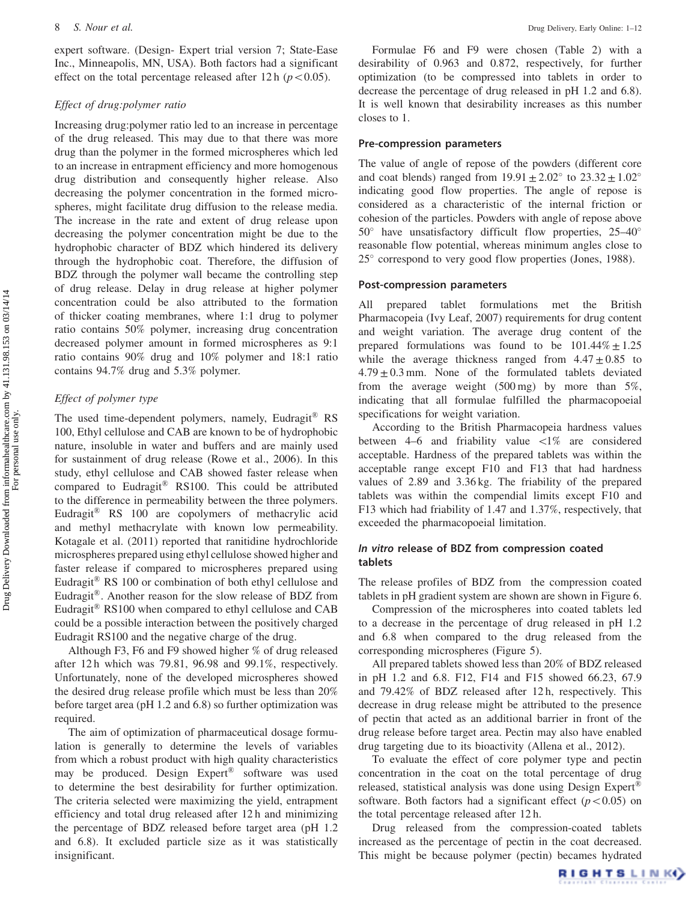expert software. (Design- Expert trial version 7; State-Ease Inc., Minneapolis, MN, USA). Both factors had a significant effect on the total percentage released after 12 h ( $p<0.05$ ).

# Effect of drug:polymer ratio

Increasing drug:polymer ratio led to an increase in percentage of the drug released. This may due to that there was more drug than the polymer in the formed microspheres which led to an increase in entrapment efficiency and more homogenous drug distribution and consequently higher release. Also decreasing the polymer concentration in the formed microspheres, might facilitate drug diffusion to the release media. The increase in the rate and extent of drug release upon decreasing the polymer concentration might be due to the hydrophobic character of BDZ which hindered its delivery through the hydrophobic coat. Therefore, the diffusion of BDZ through the polymer wall became the controlling step of drug release. Delay in drug release at higher polymer concentration could be also attributed to the formation of thicker coating membranes, where 1:1 drug to polymer ratio contains 50% polymer, increasing drug concentration decreased polymer amount in formed microspheres as 9:1 ratio contains 90% drug and 10% polymer and 18:1 ratio contains 94.7% drug and 5.3% polymer.

# Effect of polymer type

The used time-dependent polymers, namely, Eudragit® RS 100, Ethyl cellulose and CAB are known to be of hydrophobic nature, insoluble in water and buffers and are mainly used for sustainment of drug release (Rowe et al., [2006](#page-11-0)). In this study, ethyl cellulose and CAB showed faster release when compared to Eudragit® RS100. This could be attributed to the difference in permeability between the three polymers. Eudragit<sup>®</sup> RS 100 are copolymers of methacrylic acid and methyl methacrylate with known low permeability. Kotagale et al. [\(2011\)](#page-11-0) reported that ranitidine hydrochloride microspheres prepared using ethyl cellulose showed higher and faster release if compared to microspheres prepared using Eudragit® RS 100 or combination of both ethyl cellulose and Eudragit®. Another reason for the slow release of BDZ from Eudragit® RS100 when compared to ethyl cellulose and CAB could be a possible interaction between the positively charged Eudragit RS100 and the negative charge of the drug.

Although F3, F6 and F9 showed higher % of drug released after 12 h which was 79.81, 96.98 and 99.1%, respectively. Unfortunately, none of the developed microspheres showed the desired drug release profile which must be less than 20% before target area (pH 1.2 and 6.8) so further optimization was required.

The aim of optimization of pharmaceutical dosage formulation is generally to determine the levels of variables from which a robust product with high quality characteristics may be produced. Design Expert® software was used to determine the best desirability for further optimization. The criteria selected were maximizing the yield, entrapment efficiency and total drug released after 12 h and minimizing the percentage of BDZ released before target area (pH 1.2 and 6.8). It excluded particle size as it was statistically insignificant.

Formulae F6 and F9 were chosen (Table 2) with a desirability of 0.963 and 0.872, respectively, for further optimization (to be compressed into tablets in order to decrease the percentage of drug released in pH 1.2 and 6.8). It is well known that desirability increases as this number closes to 1.

#### Pre-compression parameters

The value of angle of repose of the powders (different core and coat blends) ranged from  $19.91 \pm 2.02^{\circ}$  to  $23.32 \pm 1.02^{\circ}$ indicating good flow properties. The angle of repose is considered as a characteristic of the internal friction or cohesion of the particles. Powders with angle of repose above  $50^\circ$  have unsatisfactory difficult flow properties, 25–40 $^\circ$ reasonable flow potential, whereas minimum angles close to  $25^{\circ}$  correspond to very good flow properties (Jones, [1988](#page-11-0)).

# Post-compression parameters

All prepared tablet formulations met the British Pharmacopeia (Ivy Leaf, 2007) requirements for drug content and weight variation. The average drug content of the prepared formulations was found to be  $101.44\% \pm 1.25$ while the average thickness ranged from  $4.47 \pm 0.85$  to  $4.79 \pm 0.3$  mm. None of the formulated tablets deviated from the average weight  $(500 \text{ mg})$  by more than  $5\%$ , indicating that all formulae fulfilled the pharmacopoeial specifications for weight variation.

According to the British Pharmacopeia hardness values between 4–6 and friability value  $\langle 1\%$  are considered acceptable. Hardness of the prepared tablets was within the acceptable range except F10 and F13 that had hardness values of 2.89 and 3.36 kg. The friability of the prepared tablets was within the compendial limits except F10 and F13 which had friability of 1.47 and 1.37%, respectively, that exceeded the pharmacopoeial limitation.

# In vitro release of BDZ from compression coated tablets

The release profiles of BDZ from the compression coated tablets in pH gradient system are shown are shown in [Figure 6](#page-8-0).

Compression of the microspheres into coated tablets led to a decrease in the percentage of drug released in pH 1.2 and 6.8 when compared to the drug released from the corresponding microspheres [\(Figure 5\)](#page-6-0).

All prepared tablets showed less than 20% of BDZ released in pH 1.2 and 6.8. F12, F14 and F15 showed 66.23, 67.9 and 79.42% of BDZ released after 12 h, respectively. This decrease in drug release might be attributed to the presence of pectin that acted as an additional barrier in front of the drug release before target area. Pectin may also have enabled drug targeting due to its bioactivity (Allena et al., [2012\)](#page-11-0).

To evaluate the effect of core polymer type and pectin concentration in the coat on the total percentage of drug released, statistical analysis was done using Design Expert® software. Both factors had a significant effect  $(p<0.05)$  on the total percentage released after 12 h.

Drug released from the compression-coated tablets increased as the percentage of pectin in the coat decreased. This might be because polymer (pectin) becames hydrated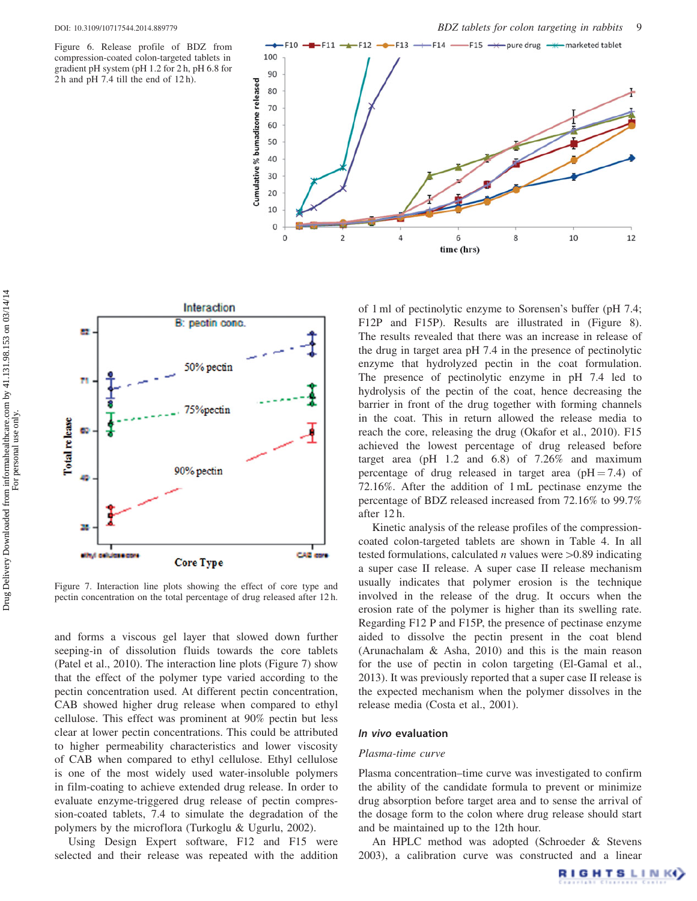<span id="page-8-0"></span>Figure 6. Release profile of BDZ from compression-coated colon-targeted tablets in gradient pH system (pH 1.2 for 2 h, pH 6.8 for 2 h and pH 7.4 till the end of 12 h).





Figure 7. Interaction line plots showing the effect of core type and pectin concentration on the total percentage of drug released after 12 h.

and forms a viscous gel layer that slowed down further seeping-in of dissolution fluids towards the core tablets (Patel et al., [2010](#page-11-0)). The interaction line plots (Figure 7) show that the effect of the polymer type varied according to the pectin concentration used. At different pectin concentration, CAB showed higher drug release when compared to ethyl cellulose. This effect was prominent at 90% pectin but less clear at lower pectin concentrations. This could be attributed to higher permeability characteristics and lower viscosity of CAB when compared to ethyl cellulose. Ethyl cellulose is one of the most widely used water-insoluble polymers in film-coating to achieve extended drug release. In order to evaluate enzyme-triggered drug release of pectin compression-coated tablets, 7.4 to simulate the degradation of the polymers by the microflora (Turkoglu & Ugurlu, [2002](#page-11-0)).

Using Design Expert software, F12 and F15 were selected and their release was repeated with the addition

of 1 ml of pectinolytic enzyme to Sorensen's buffer (pH 7.4; F12P and F15P). Results are illustrated in ([Figure 8](#page-9-0)). The results revealed that there was an increase in release of the drug in target area pH 7.4 in the presence of pectinolytic enzyme that hydrolyzed pectin in the coat formulation. The presence of pectinolytic enzyme in pH 7.4 led to hydrolysis of the pectin of the coat, hence decreasing the barrier in front of the drug together with forming channels in the coat. This in return allowed the release media to reach the core, releasing the drug (Okafor et al., [2010](#page-11-0)). F15 achieved the lowest percentage of drug released before target area (pH 1.2 and 6.8) of 7.26% and maximum percentage of drug released in target area ( $pH = 7.4$ ) of 72.16%. After the addition of 1 mL pectinase enzyme the percentage of BDZ released increased from 72.16% to 99.7% after 12 h.

Kinetic analysis of the release profiles of the compressioncoated colon-targeted tablets are shown in Table [4](#page-9-0). In all tested formulations, calculated *n* values were  $>0.89$  indicating a super case II release. A super case II release mechanism usually indicates that polymer erosion is the technique involved in the release of the drug. It occurs when the erosion rate of the polymer is higher than its swelling rate. Regarding F12 P and F15P, the presence of pectinase enzyme aided to dissolve the pectin present in the coat blend (Arunachalam & Asha, [2010](#page-11-0)) and this is the main reason for the use of pectin in colon targeting (El-Gamal et al., [2013\)](#page-11-0). It was previously reported that a super case II release is the expected mechanism when the polymer dissolves in the release media (Costa et al., [2001](#page-11-0)).

#### In vivo evaluation

### Plasma-time curve

Plasma concentration–time curve was investigated to confirm the ability of the candidate formula to prevent or minimize drug absorption before target area and to sense the arrival of the dosage form to the colon where drug release should start and be maintained up to the 12th hour.

An HPLC method was adopted (Schroeder & Stevens [2003\)](#page-11-0), a calibration curve was constructed and a linear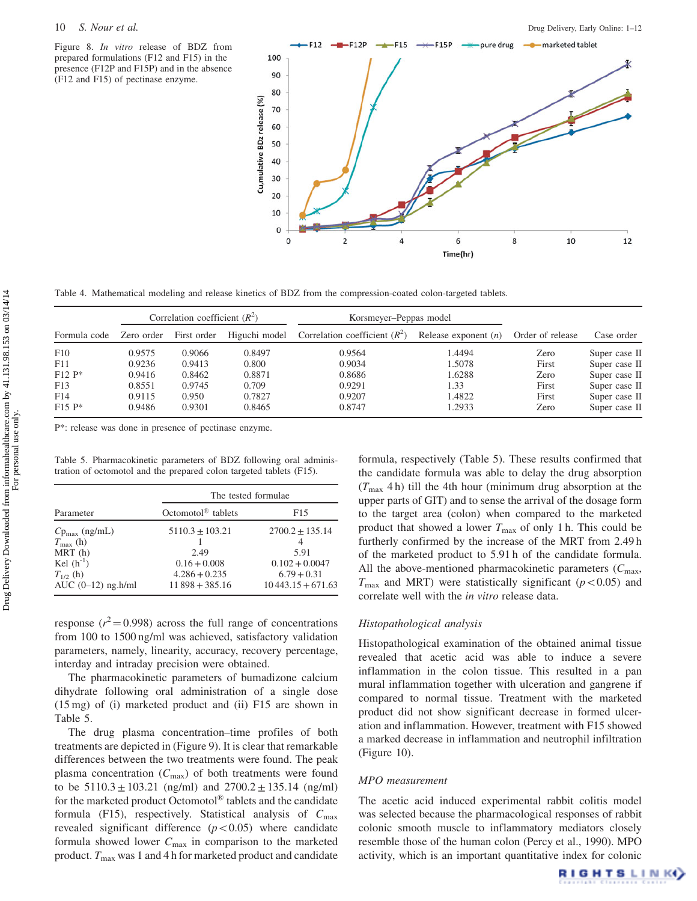<span id="page-9-0"></span>Figure 8. In vitro release of BDZ from prepared formulations (F12 and F15) in the presence (F12P and F15P) and in the absence (F12 and F15) of pectinase enzyme.



Table 4. Mathematical modeling and release kinetics of BDZ from the compression-coated colon-targeted tablets.

|                                    |                            | Correlation coefficient $(R^2)$ |                           | Korsmeyer-Peppas model          |                          |                        |                                                 |
|------------------------------------|----------------------------|---------------------------------|---------------------------|---------------------------------|--------------------------|------------------------|-------------------------------------------------|
| Formula code                       | Zero order                 | First order                     | Higuchi model             | Correlation coefficient $(R^2)$ | Release exponent $(n)$   | Order of release       | Case order                                      |
| F10<br>F11                         | 0.9575<br>0.9236           | 0.9066<br>0.9413                | 0.8497<br>0.800           | 0.9564<br>0.9034                | 1.4494<br>1.5078         | Zero<br>First          | Super case II<br>Super case II                  |
| $F12 P^*$                          | 0.9416                     | 0.8462                          | 0.8871                    | 0.8686                          | 1.6288                   | Zero                   | Super case II                                   |
| F13<br>F <sub>14</sub><br>$F15 P*$ | 0.8551<br>0.9115<br>0.9486 | 0.9745<br>0.950<br>0.9301       | 0.709<br>0.7827<br>0.8465 | 0.9291<br>0.9207<br>0.8747      | 1.33<br>1.4822<br>1.2933 | First<br>First<br>Zero | Super case II<br>Super case II<br>Super case II |

P\*: release was done in presence of pectinase enzyme.

Table 5. Pharmacokinetic parameters of BDZ following oral administration of octomotol and the prepared colon targeted tablets (F15).

|                                                                                                                     | The tested formulae.                                                                 |                                                                                              |  |
|---------------------------------------------------------------------------------------------------------------------|--------------------------------------------------------------------------------------|----------------------------------------------------------------------------------------------|--|
| Parameter                                                                                                           | Octomotol <sup><math>\circledR</math></sup> tablets                                  | F <sub>15</sub>                                                                              |  |
| $Cp_{\text{max}}$ (ng/mL)<br>$T_{\rm max}$ (h)<br>MRT(h)<br>Kel $(h^{-1})$<br>$T_{1/2}$ (h)<br>AUC $(0-12)$ ng.h/ml | $5110.3 \pm 103.21$<br>2.49<br>$0.16 + 0.008$<br>$4.286 + 0.235$<br>$11898 + 385.16$ | $2700.2 \pm 135.14$<br>4<br>5.91<br>$0.102 + 0.0047$<br>$6.79 + 0.31$<br>$10443.15 + 671.63$ |  |

response ( $r^2$  = 0.998) across the full range of concentrations from 100 to 1500 ng/ml was achieved, satisfactory validation parameters, namely, linearity, accuracy, recovery percentage, interday and intraday precision were obtained.

The pharmacokinetic parameters of bumadizone calcium dihydrate following oral administration of a single dose (15 mg) of (i) marketed product and (ii) F15 are shown in Table 5.

The drug plasma concentration–time profiles of both treatments are depicted in ([Figure 9\)](#page-10-0). It is clear that remarkable differences between the two treatments were found. The peak plasma concentration  $(C_{\text{max}})$  of both treatments were found to be  $5110.3 \pm 103.21$  (ng/ml) and  $2700.2 \pm 135.14$  (ng/ml) for the marketed product Octomotol® tablets and the candidate formula (F15), respectively. Statistical analysis of  $C_{\text{max}}$ revealed significant difference  $(p<0.05)$  where candidate formula showed lower  $C_{\text{max}}$  in comparison to the marketed product.  $T_{\text{max}}$  was 1 and 4 h for marketed product and candidate formula, respectively (Table 5). These results confirmed that the candidate formula was able to delay the drug absorption  $(T_{\text{max}} 4 h)$  till the 4th hour (minimum drug absorption at the upper parts of GIT) and to sense the arrival of the dosage form to the target area (colon) when compared to the marketed product that showed a lower  $T_{\text{max}}$  of only 1 h. This could be furtherly confirmed by the increase of the MRT from 2.49 h of the marketed product to 5.91 h of the candidate formula. All the above-mentioned pharmacokinetic parameters  $(C_{\text{max}},$  $T_{\text{max}}$  and MRT) were statistically significant ( $p<0.05$ ) and correlate well with the in vitro release data.

### Histopathological analysis

Histopathological examination of the obtained animal tissue revealed that acetic acid was able to induce a severe inflammation in the colon tissue. This resulted in a pan mural inflammation together with ulceration and gangrene if compared to normal tissue. Treatment with the marketed product did not show significant decrease in formed ulceration and inflammation. However, treatment with F15 showed a marked decrease in inflammation and neutrophil infiltration [\(Figure 10](#page-10-0)).

#### MPO measurement

The acetic acid induced experimental rabbit colitis model was selected because the pharmacological responses of rabbit colonic smooth muscle to inflammatory mediators closely resemble those of the human colon (Percy et al., [1990\)](#page-11-0). MPO activity, which is an important quantitative index for colonic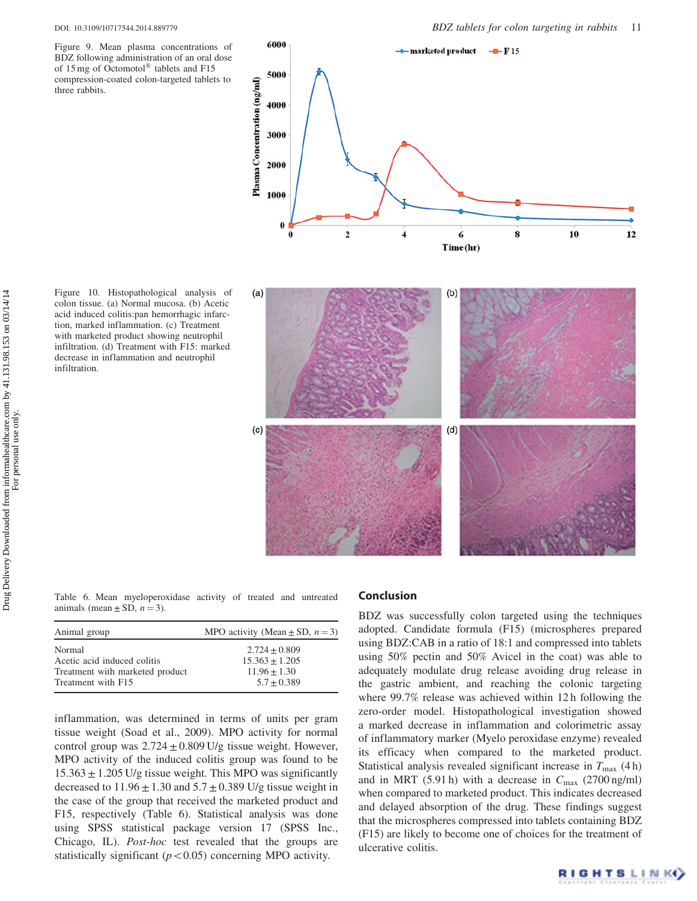<span id="page-10-0"></span>Figure 9. Mean plasma concentrations of BDZ following administration of an oral dose of 15 mg of Octomotol® tablets and F15 compression-coated colon-targeted tablets to three rabbits.

Figure 10. Histopathological analysis of colon tissue. (a) Normal mucosa. (b) Acetic acid induced colitis:pan hemorrhagic infarction, marked inflammation. (c) Treatment with marketed product showing neutrophil infiltration. (d) Treatment with F15: marked decrease in inflammation and neutrophil

infiltration.



Table 6. Mean myeloperoxidase activity of treated and untreated animals (mean  $\pm$  SD,  $n = 3$ ).

| Animal group                    | MPO activity (Mean $\pm$ SD, $n = 3$ ) |
|---------------------------------|----------------------------------------|
| Normal                          | $2.724 + 0.809$                        |
| Acetic acid induced colitis     | $15.363 + 1.205$                       |
| Treatment with marketed product | $11.96 + 1.30$                         |
| Treatment with F15              | $5.7 + 0.389$                          |
|                                 |                                        |

inflammation, was determined in terms of units per gram tissue weight (Soad et al., [2009\)](#page-11-0). MPO activity for normal control group was  $2.724 \pm 0.809$  U/g tissue weight. However, MPO activity of the induced colitis group was found to be  $15.363 \pm 1.205$  U/g tissue weight. This MPO was significantly decreased to  $11.96 \pm 1.30$  and  $5.7 \pm 0.389$  U/g tissue weight in the case of the group that received the marketed product and F15, respectively (Table 6). Statistical analysis was done using SPSS statistical package version 17 (SPSS Inc., Chicago, IL). Post-hoc test revealed that the groups are statistically significant  $(p<0.05)$  concerning MPO activity.

# Conclusion

BDZ was successfully colon targeted using the techniques adopted. Candidate formula (F15) (microspheres prepared using BDZ:CAB in a ratio of 18:1 and compressed into tablets using 50% pectin and 50% Avicel in the coat) was able to adequately modulate drug release avoiding drug release in the gastric ambient, and reaching the colonic targeting where 99.7% release was achieved within 12 h following the zero-order model. Histopathological investigation showed a marked decrease in inflammation and colorimetric assay of inflammatory marker (Myelo peroxidase enzyme) revealed its efficacy when compared to the marketed product. Statistical analysis revealed significant increase in  $T_{\text{max}}$  (4 h) and in MRT (5.91 h) with a decrease in  $C_{\text{max}}$  (2700 ng/ml) when compared to marketed product. This indicates decreased and delayed absorption of the drug. These findings suggest that the microspheres compressed into tablets containing BDZ (F15) are likely to become one of choices for the treatment of ulcerative colitis.